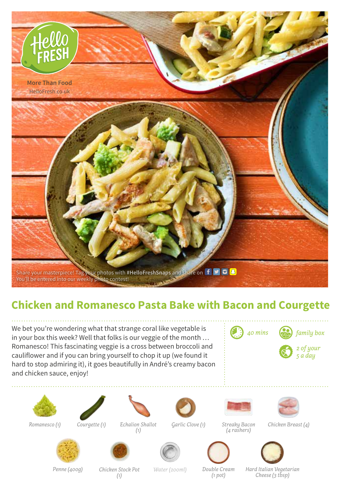

## **Chicken and Romanesco Pasta Bake with Bacon and Courgette**

We bet you're wondering what that strange coral like vegetable is in your box this week? Well that folks is our veggie of the month … Romanesco! This fascinating veggie is a cross between broccoli and cauliflower and if you can bring yourself to chop it up (we found it hard to stop admiring it), it goes beautifully in André's creamy bacon and chicken sauce, enjoy!

| $\left(\begin{array}{cc} 0 & 0 \\ 0 & 0 \end{array}\right)$ 40 mins $\left(\begin{array}{cc} 0 & 0 \\ 0 & 0 \end{array}\right)$ family box |
|--------------------------------------------------------------------------------------------------------------------------------------------|
| $\bigotimes$ 2 of your                                                                                                                     |







*Romanesco (1) Courgette (1) Echalion Shallot (1)*



*Garlic Clove (1) Streaky Bacon (4 rashers)*



*Chicken Breast (4)*











*Penne (400g) Chicken Stock Pot Water (200ml) (1)*

*Double Cream (1 pot)*

*Hard Italian Vegetarian Cheese (3 tbsp)*